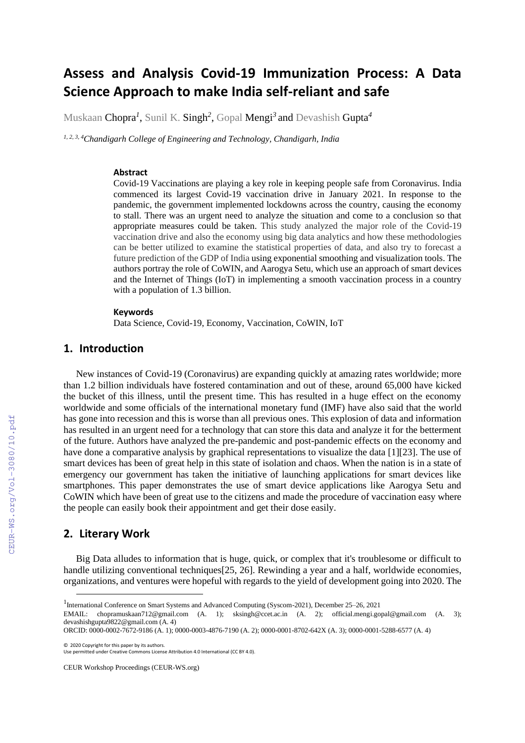# **Assess and Analysis Covid-19 Immunization Process: A Data Science Approach to make India self-reliant and safe**

Muskaan Chopra*<sup>1</sup>* , Sunil K. Singh*<sup>2</sup>* , Gopal Mengi*<sup>3</sup>*and Devashish Gupta*<sup>4</sup>*

*1, 2, 3, 4Chandigarh College of Engineering and Technology, Chandigarh, India* 

#### **Abstract**

Covid-19 Vaccinations are playing a key role in keeping people safe from Coronavirus. India commenced its largest Covid-19 vaccination drive in January 2021. In response to the pandemic, the government implemented lockdowns across the country, causing the economy to stall. There was an urgent need to analyze the situation and come to a conclusion so that appropriate measures could be taken. This study analyzed the major role of the Covid-19 vaccination drive and also the economy using big data analytics and how these methodologies can be better utilized to examine the statistical properties of data, and also try to forecast a future prediction of the GDP of India using exponential smoothing and visualization tools. The authors portray the role of CoWIN, and Aarogya Setu, which use an approach of smart devices and the Internet of Things (IoT) in implementing a smooth vaccination process in a country with a population of 1.3 billion.

#### **Keywords <sup>1</sup>**

Data Science, Covid-19, Economy, Vaccination, CoWIN, IoT

#### **1. Introduction**

New instances of Covid-19 (Coronavirus) are expanding quickly at amazing rates worldwide; more than 1.2 billion individuals have fostered contamination and out of these, around 65,000 have kicked the bucket of this illness, until the present time. This has resulted in a huge effect on the economy worldwide and some officials of the international monetary fund (IMF) have also said that the world has gone into recession and this is worse than all previous ones. This explosion of data and information has resulted in an urgent need for a technology that can store this data and analyze it for the betterment of the future. Authors have analyzed the pre-pandemic and post-pandemic effects on the economy and have done a comparative analysis by graphical representations to visualize the data [1][23]. The use of smart devices has been of great help in this state of isolation and chaos. When the nation is in a state of emergency our government has taken the initiative of launching applications for smart devices like smartphones. This paper demonstrates the use of smart device applications like Aarogya Setu and CoWIN which have been of great use to the citizens and made the procedure of vaccination easy where the people can easily book their appointment and get their dose easily.

#### **2. Literary Work**

Big Data alludes to information that is huge, quick, or complex that it's troublesome or difficult to handle utilizing conventional techniques[25, 26]. Rewinding a year and a half, worldwide economies, organizations, and ventures were hopeful with regards to the yield of development going into 2020. The

CEUR Workshop Proceedings (CEUR-WS.org)

<sup>1</sup> International Conference on Smart Systems and Advanced Computing (Syscom-2021), December 25–26, 2021

EMAIL: chopramuskaan712@gmail.com (A. 1); sksingh@ccet.ac.in (A. 2); official.mengi.gopal@gmail.com (A. 3); devashishgupta9822@gmail.com (A. 4)

ORCID: 0000-0002-7672-9186 (A. 1); 0000-0003-4876-7190 (A. 2); 0000-0001-8702-642X (A. 3); 0000-0001-5288-6577 (A. 4)

<sup>©️</sup> 2020 Copyright for this paper by its authors.

Use permitted under Creative Commons License Attribution 4.0 International (CC BY 4.0).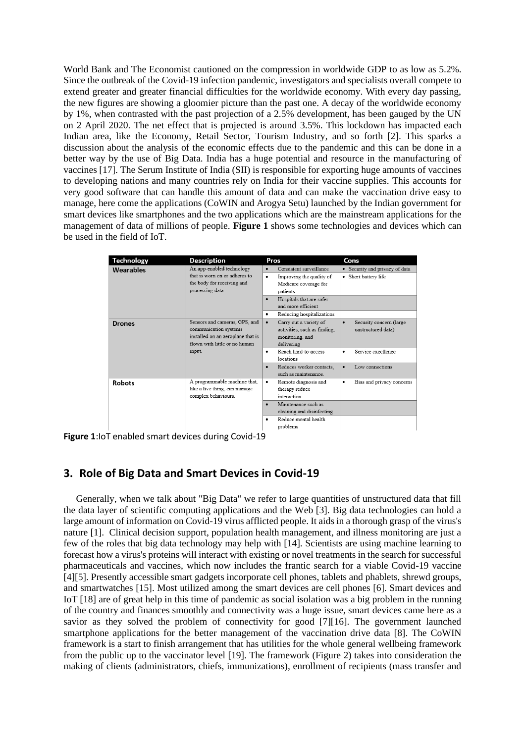World Bank and The Economist cautioned on the compression in worldwide GDP to as low as 5.2%. Since the outbreak of the Covid-19 infection pandemic, investigators and specialists overall compete to extend greater and greater financial difficulties for the worldwide economy. With every day passing, the new figures are showing a gloomier picture than the past one. A decay of the worldwide economy by 1%, when contrasted with the past projection of a 2.5% development, has been gauged by the UN on 2 April 2020. The net effect that is projected is around 3.5%. This lockdown has impacted each Indian area, like the Economy, Retail Sector, Tourism Industry, and so forth [2]. This sparks a discussion about the analysis of the economic effects due to the pandemic and this can be done in a better way by the use of Big Data. India has a huge potential and resource in the manufacturing of vaccines [17]. The Serum Institute of India (SII) is responsible for exporting huge amounts of vaccines to developing nations and many countries rely on India for their vaccine supplies. This accounts for very good software that can handle this amount of data and can make the vaccination drive easy to manage, here come the applications (CoWIN and Arogya Setu) launched by the Indian government for smart devices like smartphones and the two applications which are the mainstream applications for the management of data of millions of people. **Figure 1** shows some technologies and devices which can be used in the field of IoT.

| <b>Technology</b> | <b>Description</b>                                                                                                                     | Pros                                                                                                                                                                                                        | Cons                                                                                  |
|-------------------|----------------------------------------------------------------------------------------------------------------------------------------|-------------------------------------------------------------------------------------------------------------------------------------------------------------------------------------------------------------|---------------------------------------------------------------------------------------|
| Wearables         | An app-enabled technology<br>that is worn on or adheres to<br>the body for receiving and<br>processing data.                           | Consistent surveillance<br>$\bullet$<br>Improving the quality of<br>٠<br>Medicare coverage for<br>patients<br>Hospitals that are safer<br>$\bullet$<br>and more efficient<br>Reducing hospitalizations<br>٠ | • Security and privacy of data<br>Short battery life<br>$\bullet$                     |
| Drones            | Sensors and cameras, GPS, and<br>communication systems<br>installed on an aeroplane that is<br>flown with little or no human<br>input. | Carry out a variety of<br>$\bullet$<br>activities, such as finding,<br>monitoring, and<br>delivering<br>Reach hard-to-access<br>٠                                                                           | Security concern (large<br>$\bullet$<br>unstructured data)<br>Service excellence<br>٠ |
|                   |                                                                                                                                        | locations<br>Reduces worker contacts.<br>$\bullet$<br>such as maintenance                                                                                                                                   | Low connections<br>$\bullet$                                                          |
| <b>Robots</b>     | A programmable machine that,<br>like a live thing, can manage<br>complex behaviours.                                                   | Remote diagnosis and<br>٠<br>therapy reduce<br>interaction                                                                                                                                                  | Bias and privacy concerns<br>٠                                                        |
|                   |                                                                                                                                        | Maintenance such as<br>$\bullet$<br>cleaning and disinfecting<br>Reduce mental health<br>٠<br>problems                                                                                                      |                                                                                       |

**Figure 1**:IoT enabled smart devices during Covid-19

# **3. Role of Big Data and Smart Devices in Covid-19**

Generally, when we talk about "Big Data" we refer to large quantities of unstructured data that fill the data layer of scientific computing applications and the Web [3]. Big data technologies can hold a large amount of information on Covid-19 virus afflicted people. It aids in a thorough grasp of the virus's nature [1]. Clinical decision support, population health management, and illness monitoring are just a few of the roles that big data technology may help with [14]. Scientists are using machine learning to forecast how a virus's proteins will interact with existing or novel treatments in the search for successful pharmaceuticals and vaccines, which now includes the frantic search for a viable Covid-19 vaccine [4][5]. Presently accessible smart gadgets incorporate cell phones, tablets and phablets, shrewd groups, and smartwatches [15]. Most utilized among the smart devices are cell phones [6]. Smart devices and IoT [18] are of great help in this time of pandemic as social isolation was a big problem in the running of the country and finances smoothly and connectivity was a huge issue, smart devices came here as a savior as they solved the problem of connectivity for good [7][16]. The government launched smartphone applications for the better management of the vaccination drive data [8]. The CoWIN framework is a start to finish arrangement that has utilities for the whole general wellbeing framework from the public up to the vaccinator level [19]. The framework (Figure 2) takes into consideration the making of clients (administrators, chiefs, immunizations), enrollment of recipients (mass transfer and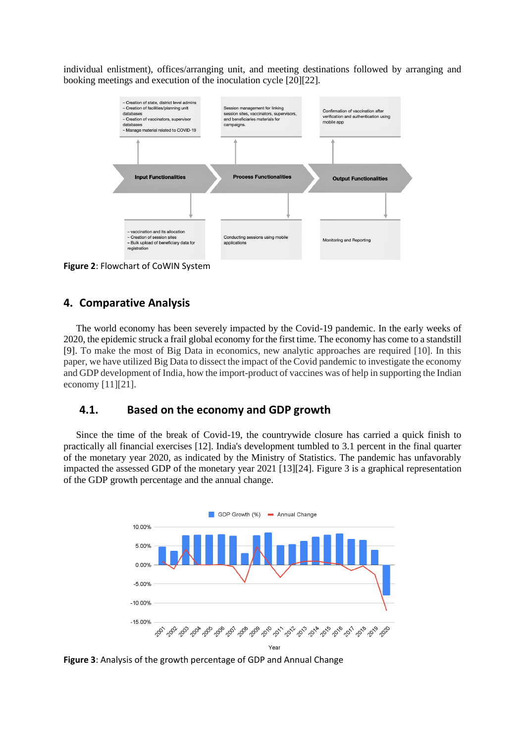individual enlistment), offices/arranging unit, and meeting destinations followed by arranging and booking meetings and execution of the inoculation cycle [20][22].



**Figure 2**: Flowchart of CoWIN System

#### **4. Comparative Analysis**

The world economy has been severely impacted by the Covid-19 pandemic. In the early weeks of 2020, the epidemic struck a frail global economy for the first time. The economy has come to a standstill [9]. To make the most of Big Data in economics, new analytic approaches are required [10]. In this paper, we have utilized Big Data to dissect the impact of the Covid pandemic to investigate the economy and GDP development of India, how the import-product of vaccines was of help in supporting the Indian economy [11][21].

### **4.1. Based on the economy and GDP growth**

Since the time of the break of Covid-19, the countrywide closure has carried a quick finish to practically all financial exercises [12]. India's development tumbled to 3.1 percent in the final quarter of the monetary year 2020, as indicated by the Ministry of Statistics. The pandemic has unfavorably impacted the assessed GDP of the monetary year 2021 [13][24]. Figure 3 is a graphical representation of the GDP growth percentage and the annual change.



**Figure 3**: Analysis of the growth percentage of GDP and Annual Change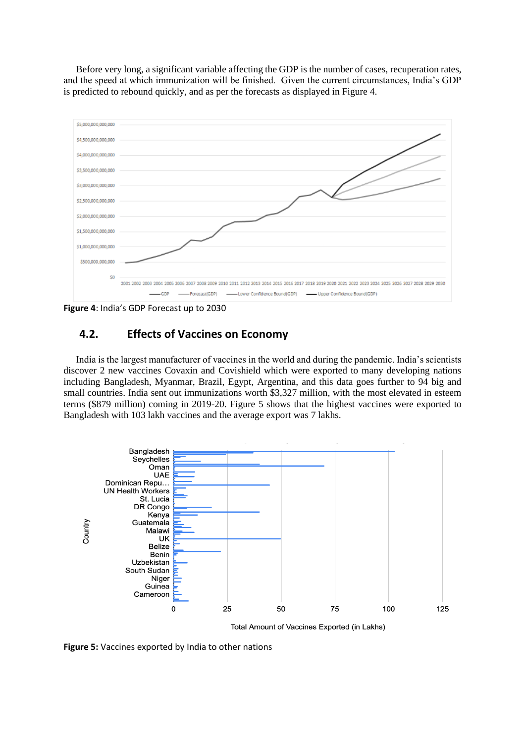Before very long, a significant variable affecting the GDP is the number of cases, recuperation rates, and the speed at which immunization will be finished. Given the current circumstances, India's GDP is predicted to rebound quickly, and as per the forecasts as displayed in Figure 4.



**Figure 4**: India's GDP Forecast up to 2030

## **4.2. Effects of Vaccines on Economy**

India is the largest manufacturer of vaccines in the world and during the pandemic. India's scientists discover 2 new vaccines Covaxin and Covishield which were exported to many developing nations including Bangladesh, Myanmar, Brazil, Egypt, Argentina, and this data goes further to 94 big and small countries. India sent out immunizations worth \$3,327 million, with the most elevated in esteem terms (\$879 million) coming in 2019-20. Figure 5 shows that the highest vaccines were exported to Bangladesh with 103 lakh vaccines and the average export was 7 lakhs.



Total Amount of Vaccines Exported (in Lakhs)

**Figure 5:** Vaccines exported by India to other nations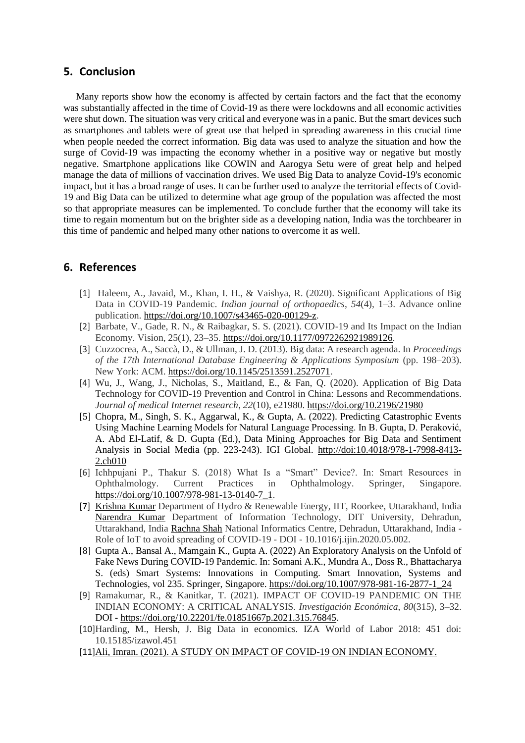#### **5. Conclusion**

Many reports show how the economy is affected by certain factors and the fact that the economy was substantially affected in the time of Covid-19 as there were lockdowns and all economic activities were shut down. The situation was very critical and everyone was in a panic. But the smart devices such as smartphones and tablets were of great use that helped in spreading awareness in this crucial time when people needed the correct information. Big data was used to analyze the situation and how the surge of Covid-19 was impacting the economy whether in a positive way or negative but mostly negative. Smartphone applications like COWIN and Aarogya Setu were of great help and helped manage the data of millions of vaccination drives. We used Big Data to analyze Covid-19's economic impact, but it has a broad range of uses. It can be further used to analyze the territorial effects of Covid-19 and Big Data can be utilized to determine what age group of the population was affected the most so that appropriate measures can be implemented. To conclude further that the economy will take its time to regain momentum but on the brighter side as a developing nation, India was the torchbearer in this time of pandemic and helped many other nations to overcome it as well.

## **6. References**

- [1] Haleem, A., Javaid, M., Khan, I. H., & Vaishya, R. (2020). Significant Applications of Big Data in COVID-19 Pandemic. *Indian journal of orthopaedics*, *54*(4), 1–3. Advance online publication. [https://doi.org/10.1007/s43465-020-00129-z.](https://doi.org/10.1007/s43465-020-00129-z)
- [2] Barbate, V., Gade, R. N., & Raibagkar, S. S. (2021). COVID-19 and Its Impact on the Indian Economy. Vision, 25(1), 23–35. [https://doi.org/10.1177/0972262921989126.](https://doi.org/10.1177/0972262921989126)
- [3] Cuzzocrea, A., Saccà, D., & Ullman, J. D. (2013). Big data: A research agenda. In *Proceedings of the 17th International Database Engineering & Applications Symposium* (pp. 198–203). New York: ACM. [https://doi.org/10.1145/2513591.2527071.](https://doi.org/10.1145/2513591.2527071)
- [4] Wu, J., Wang, J., Nicholas, S., Maitland, E., & Fan, Q. (2020). Application of Big Data Technology for COVID-19 Prevention and Control in China: Lessons and Recommendations. *Journal of medical Internet research*, *22*(10), e21980.<https://doi.org/10.2196/21980>
- [5] Chopra, M., Singh, S. K., Aggarwal, K., & Gupta, A. (2022). Predicting Catastrophic Events Using Machine Learning Models for Natural Language Processing. In B. Gupta, D. Peraković, A. Abd El-Latif, & D. Gupta (Ed.), Data Mining Approaches for Big Data and Sentiment Analysis in Social Media (pp. 223-243). IGI Global. http://doi:10.4018/978-1-7998-8413- 2.ch010
- [6] Ichhpujani P., Thakur S. (2018) What Is a "Smart" Device?. In: Smart Resources in Ophthalmology. Current Practices in Ophthalmology. Springer, Singapore. [https://doi.org/10.1007/978-981-13-0140-7\\_1.](https://doi.org/10.1007/978-981-13-0140-7_1)
- [7] [Krishna Kumar](https://www.ncbi.nlm.nih.gov/pubmed/?term=Kumar%20K%5BAuthor%5D) Department of Hydro & Renewable Energy, IIT, Roorkee, Uttarakhand, India [Narendra Kumar](https://www.ncbi.nlm.nih.gov/pubmed/?term=Kumar%20N%5BAuthor%5D) Department of Information Technology, DIT University, Dehradun, Uttarakhand, India [Rachna Shah](https://www.ncbi.nlm.nih.gov/pubmed/?term=Shah%20R%5BAuthor%5D) National Informatics Centre, Dehradun, Uttarakhand, India - Role of IoT to avoid spreading of COVID-19 - DOI - 10.1016/j.iiin.2020.05.002.
- [8] Gupta A., Bansal A., Mamgain K., Gupta A. (2022) An Exploratory Analysis on the Unfold of Fake News During COVID-19 Pandemic. In: Somani A.K., Mundra A., Doss R., Bhattacharya S. (eds) Smart Systems: Innovations in Computing. Smart Innovation, Systems and Technologies, vol 235. Springer, Singapore. [https://doi.org/10.1007/978-981-16-2877-1\\_24](https://doi.org/10.1007/978-981-16-2877-1_24)
- [9] Ramakumar, R., & Kanitkar, T. (2021). IMPACT OF COVID-19 PANDEMIC ON THE INDIAN ECONOMY: A CRITICAL ANALYSIS. *Investigación Económica*, *80*(315), 3–32. DOI - [https://doi.org/10.22201/fe.01851667p.2021.315.76845.](https://doi.org/10.22201/fe.01851667p.2021.315.76845)
- [10]Harding, M., Hersh, J. Big Data in economics. IZA World of Labor 2018: 451 doi: 10.15185/izawol.451
- [11][Ali, Imran. \(2021\). A STUDY ON IMPACT OF COVID-19 ON INDIAN ECONOMY.](https://www.irjmets.com/uploadedfiles/paper/volume2/issue_7_july_2020/2005/1628083069.pdf)